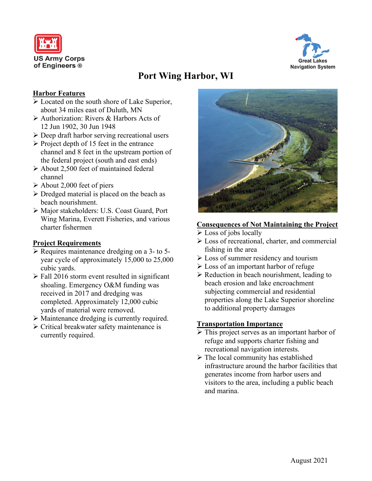



# **Port Wing Harbor, WI**

### **Harbor Features**

- Located on the south shore of Lake Superior, about 34 miles east of Duluth, MN
- Authorization: Rivers & Harbors Acts of 12 Jun 1902, 30 Jun 1948
- $\triangleright$  Deep draft harbor serving recreational users
- $\triangleright$  Project depth of 15 feet in the entrance channel and 8 feet in the upstream portion of the federal project (south and east ends)
- About 2,500 feet of maintained federal channel
- $\triangleright$  About 2,000 feet of piers
- $\triangleright$  Dredged material is placed on the beach as beach nourishment.
- Major stakeholders: U.S. Coast Guard, Port Wing Marina, Everett Fisheries, and various charter fishermen

### **Project Requirements**

- $\triangleright$  Requires maintenance dredging on a 3- to 5year cycle of approximately 15,000 to 25,000 cubic yards.
- $\triangleright$  Fall 2016 storm event resulted in significant shoaling. Emergency O&M funding was received in 2017 and dredging was completed. Approximately 12,000 cubic yards of material were removed.
- Maintenance dredging is currently required.
- $\triangleright$  Critical breakwater safety maintenance is currently required.



### **Consequences of Not Maintaining the Project**

- Eoss of jobs locally
- Loss of recreational, charter, and commercial fishing in the area
- **Example 1** Loss of summer residency and tourism
- Loss of an important harbor of refuge
- $\triangleright$  Reduction in beach nourishment, leading to beach erosion and lake encroachment subjecting commercial and residential properties along the Lake Superior shoreline to additional property damages

### **Transportation Importance**

- $\triangleright$  This project serves as an important harbor of refuge and supports charter fishing and recreational navigation interests.
- $\triangleright$  The local community has established infrastructure around the harbor facilities that generates income from harbor users and visitors to the area, including a public beach and marina.